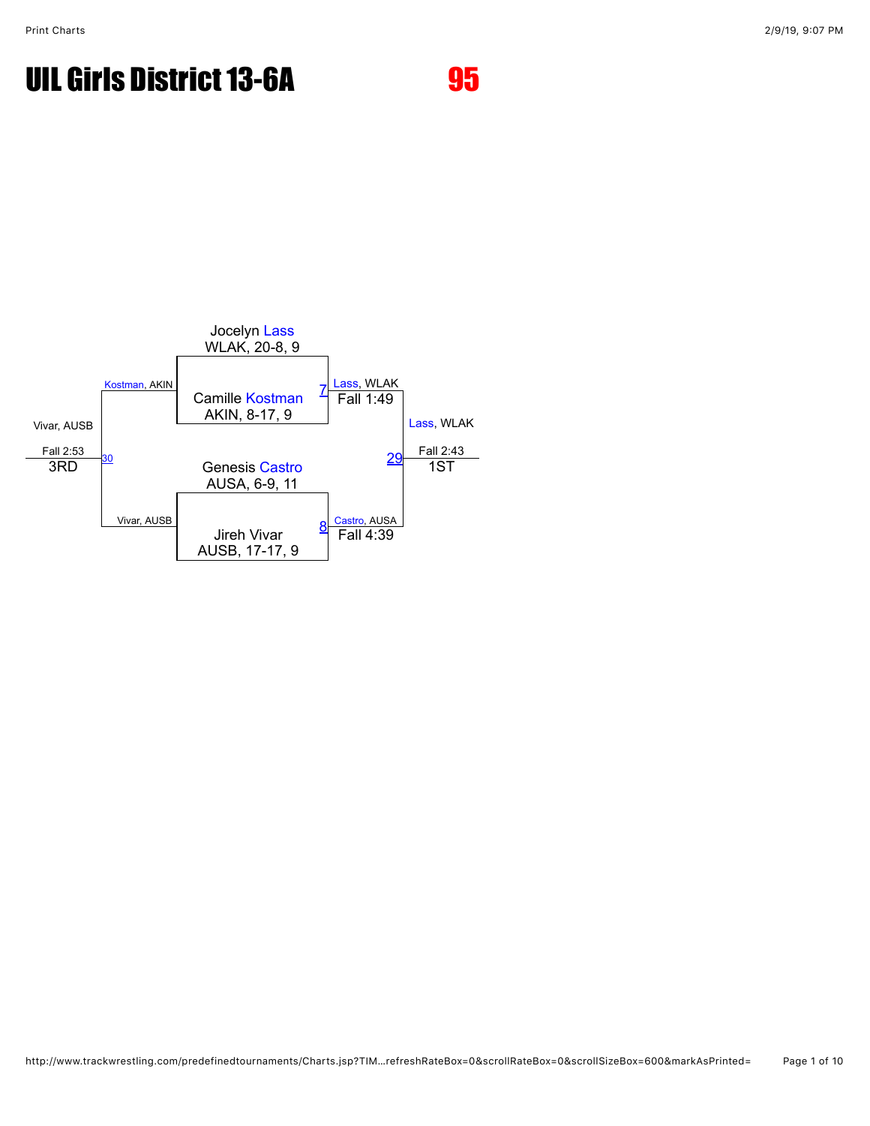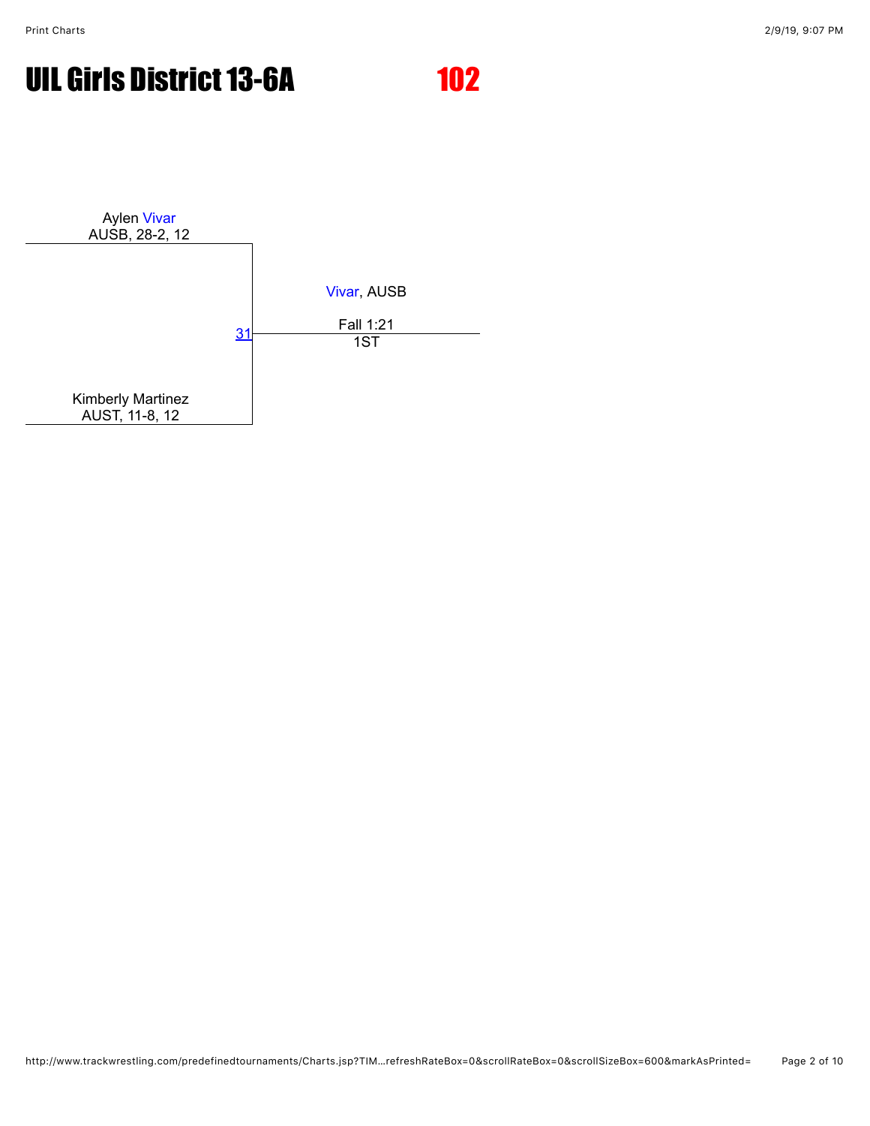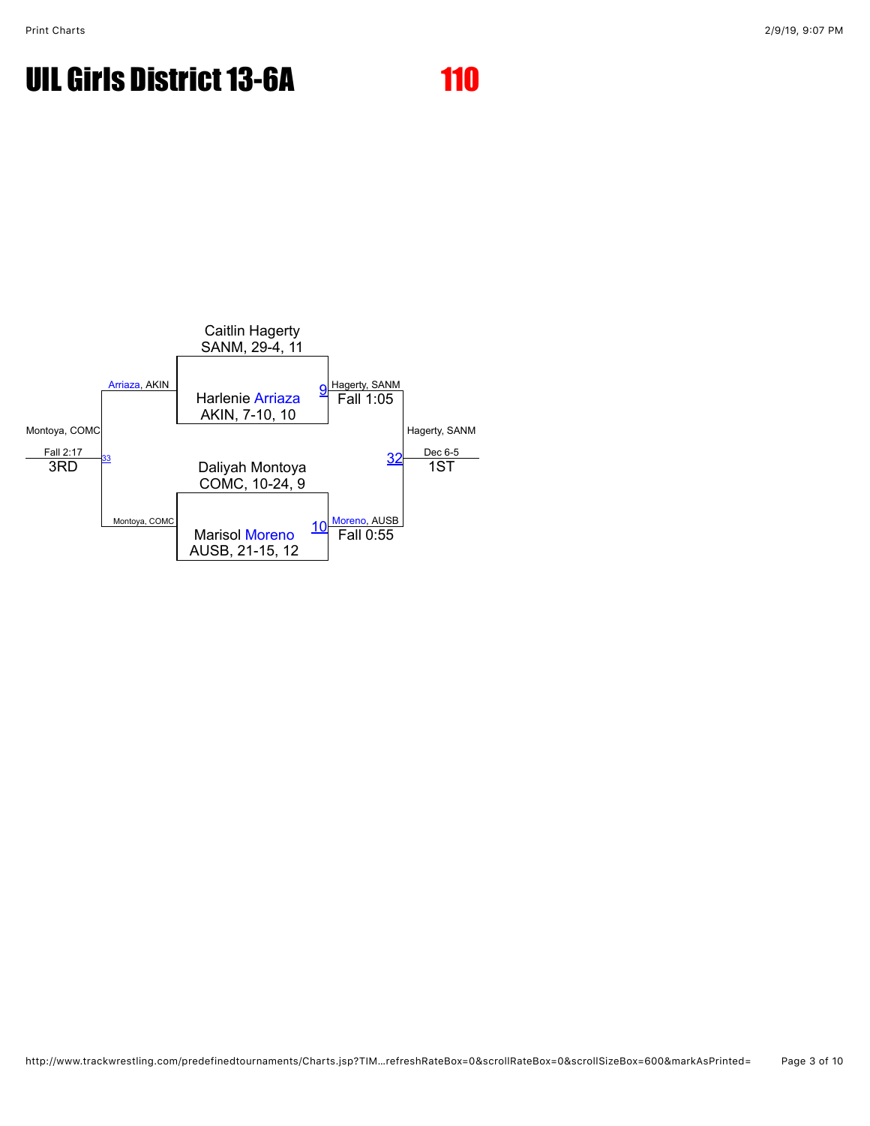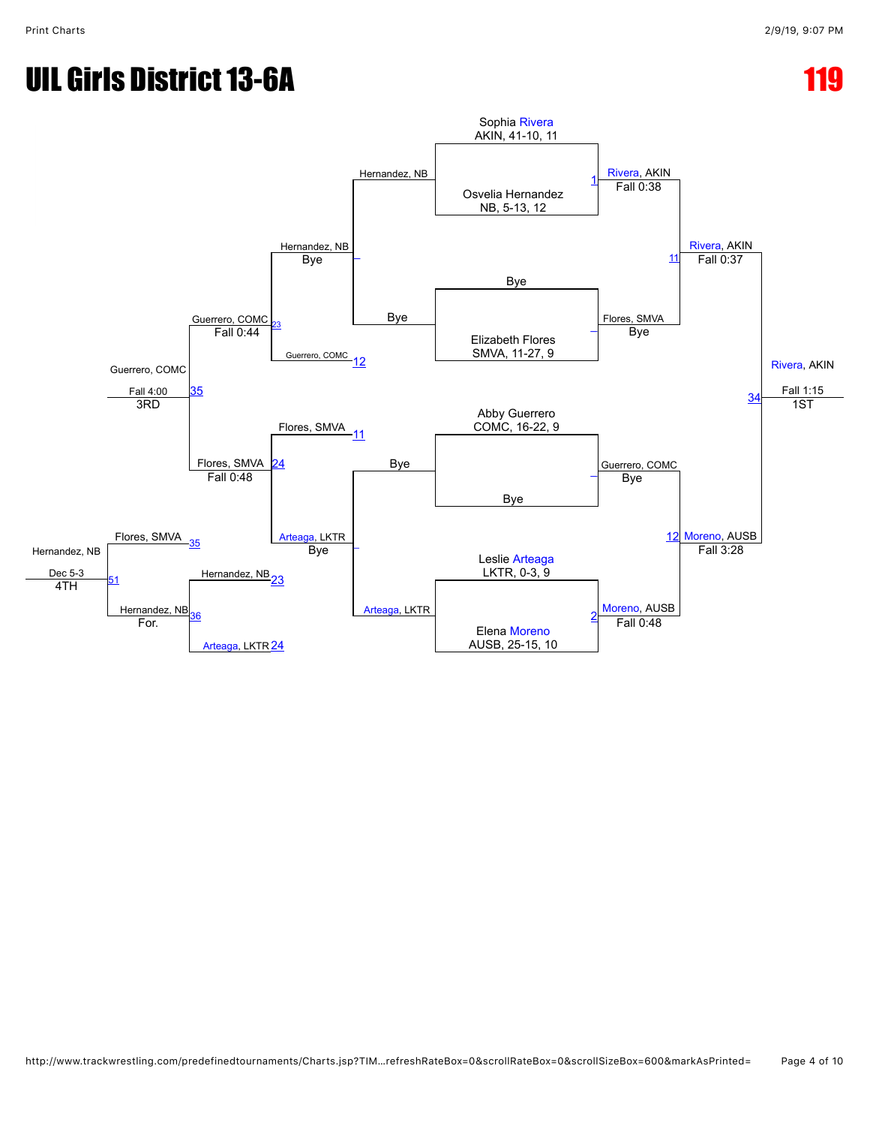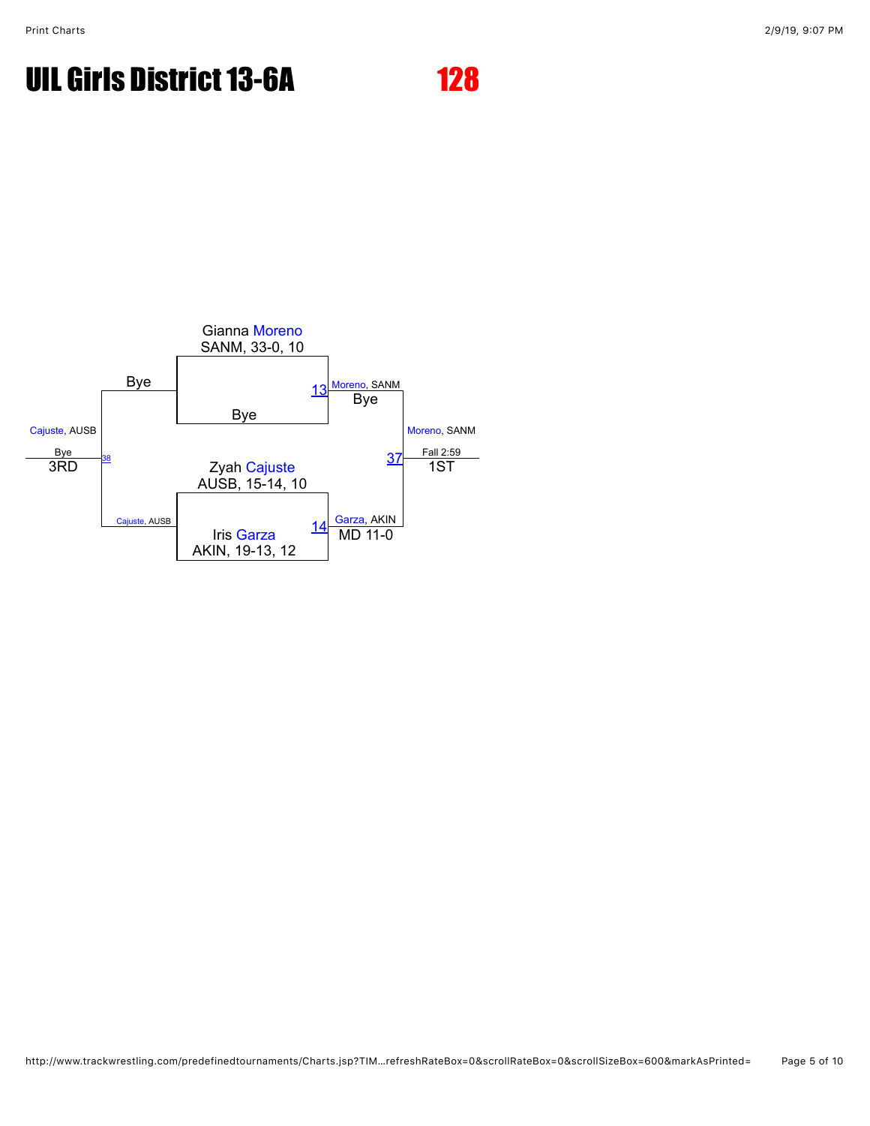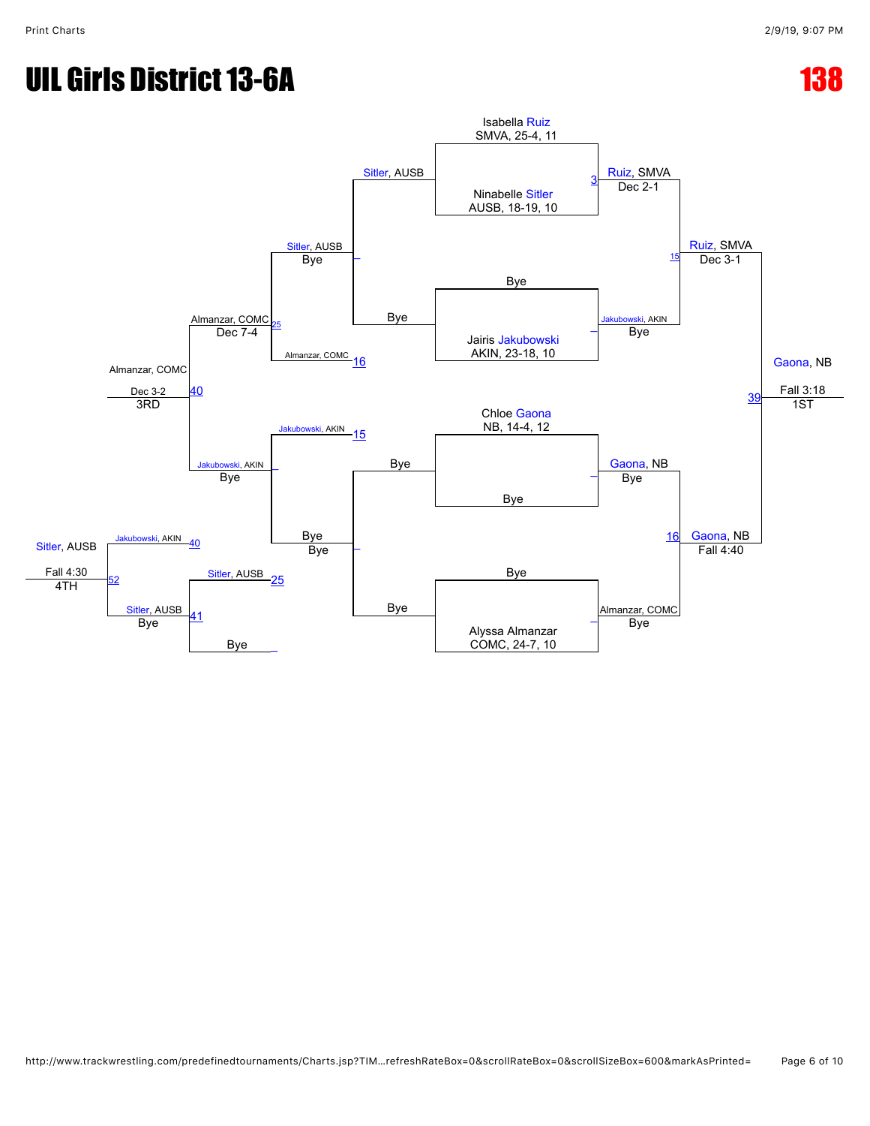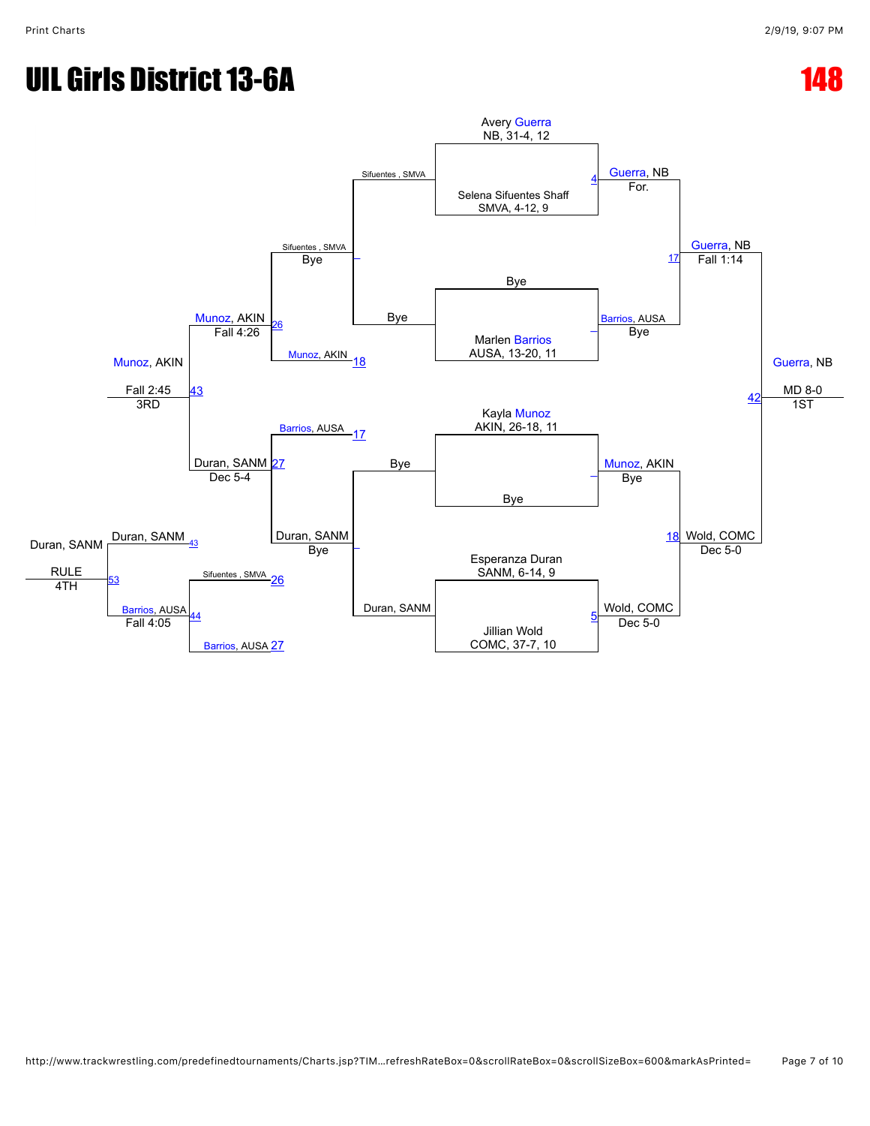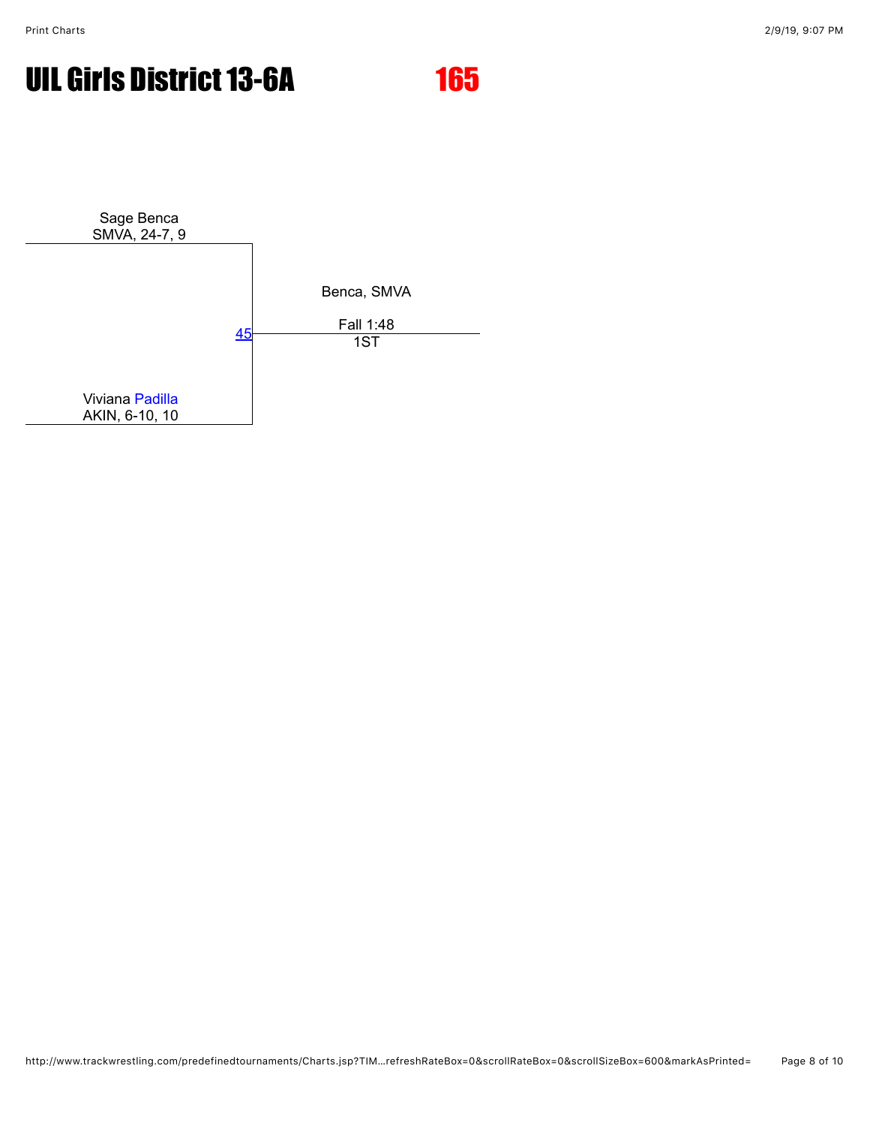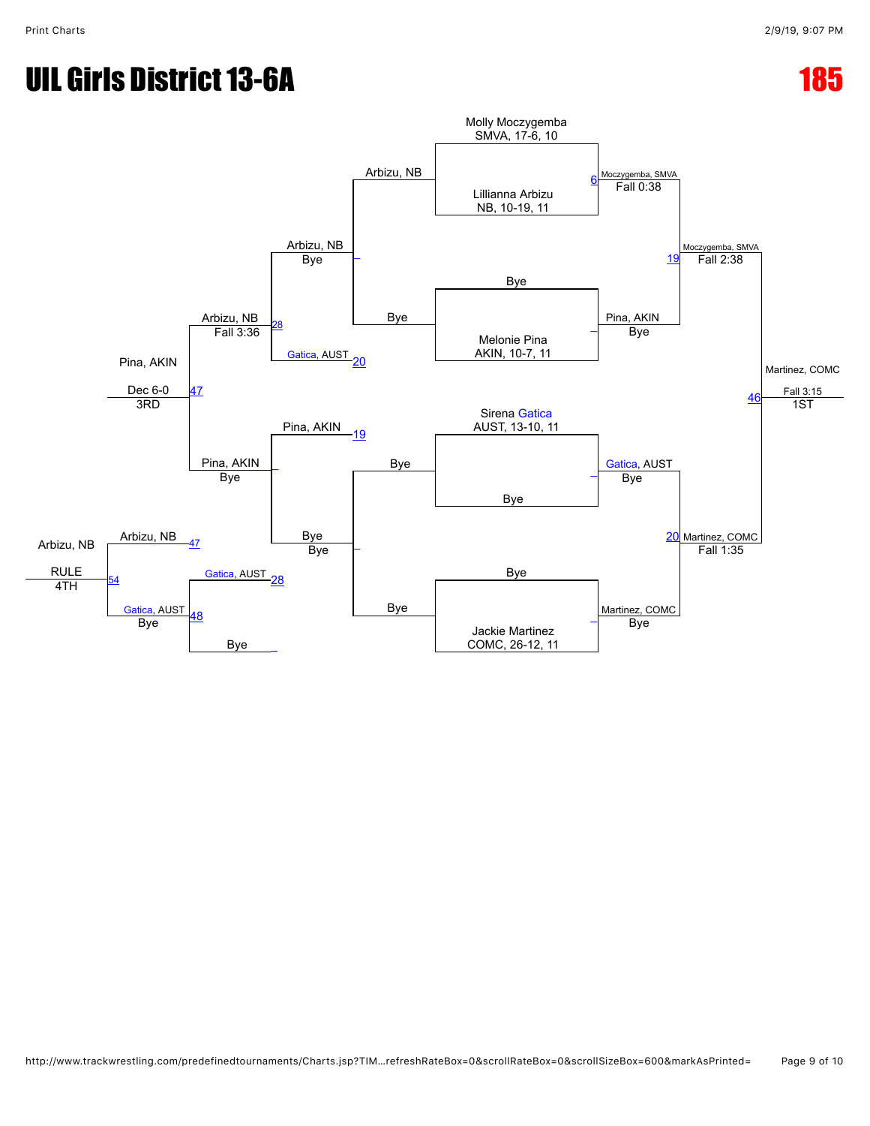